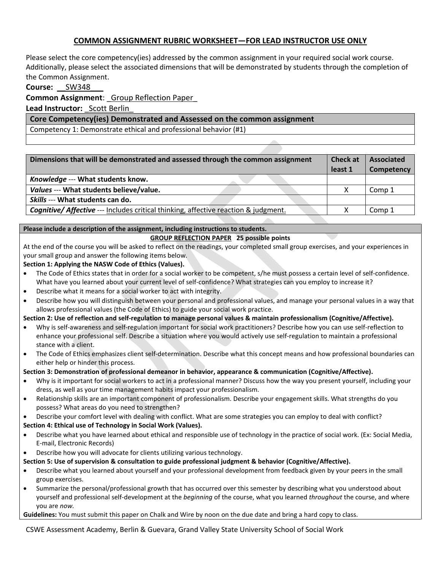# **COMMON ASSIGNMENT RUBRIC WORKSHEET—FOR LEAD INSTRUCTOR USE ONLY**

Please select the core competency(ies) addressed by the common assignment in your required social work course. Additionally, please select the associated dimensions that will be demonstrated by students through the completion of the Common Assignment.

## **Course:** \_\_SW348\_\_\_

## **Common Assignment**: \_Group Reflection Paper\_

**Lead Instructor:** Scott Berlin

### **Core Competency(ies) Demonstrated and Assessed on the common assignment**

Competency 1: Demonstrate ethical and professional behavior (#1)

| Dimensions that will be demonstrated and assessed through the common assignment                | <b>Check at</b><br>least 1 | <b>Associated</b><br>Competency |
|------------------------------------------------------------------------------------------------|----------------------------|---------------------------------|
| Knowledge --- What students know.                                                              |                            |                                 |
| Values --- What students believe/value.                                                        |                            | Comp 1                          |
| Skills --- What students can do.                                                               |                            |                                 |
| <b>Cognitive/ Affective --- Includes critical thinking, affective reaction &amp; judgment.</b> |                            | Comp 1                          |

#### **Please include a description of the assignment, including instructions to students.**

### **GROUP REFLECTION PAPER 25 possible points**

At the end of the course you will be asked to reflect on the readings, your completed small group exercises, and your experiences in your small group and answer the following items below.

#### **Section 1: Applying the NASW Code of Ethics (Values).**

- The Code of Ethics states that in order for a social worker to be competent, s/he must possess a certain level of self-confidence. What have you learned about your current level of self-confidence? What strategies can you employ to increase it?
- Describe what it means for a social worker to act with integrity.
- Describe how you will distinguish between your personal and professional values, and manage your personal values in a way that allows professional values (the Code of Ethics) to guide your social work practice.

### **Section 2: Use of reflection and self-regulation to manage personal values & maintain professionalism (Cognitive/Affective).**

- Why is self-awareness and self-regulation important for social work practitioners? Describe how you can use self-reflection to enhance your professional self. Describe a situation where you would actively use self-regulation to maintain a professional stance with a client.
- The Code of Ethics emphasizes client self-determination. Describe what this concept means and how professional boundaries can either help or hinder this process.

#### **Section 3: Demonstration of professional demeanor in behavior, appearance & communication (Cognitive/Affective).**

- Why is it important for social workers to act in a professional manner? Discuss how the way you present yourself, including your dress, as well as your time management habits impact your professionalism.
- Relationship skills are an important component of professionalism. Describe your engagement skills. What strengths do you possess? What areas do you need to strengthen?
- Describe your comfort level with dealing with conflict. What are some strategies you can employ to deal with conflict?

### **Section 4: Ethical use of Technology in Social Work (Values).**

- Describe what you have learned about ethical and responsible use of technology in the practice of social work. (Ex: Social Media, E-mail, Electronic Records)
- Describe how you will advocate for clients utilizing various technology.
- **Section 5: Use of supervision & consultation to guide professional judgment & behavior (Cognitive/Affective).**
- Describe what you learned about yourself and your professional development from feedback given by your peers in the small group exercises.
- Summarize the personal/professional growth that has occurred over this semester by describing what you understood about yourself and professional self-development at the *beginning* of the course, what you learned *throughout* the course, and where you are *now.*

**Guidelines:** You must submit this paper on Chalk and Wire by noon on the due date and bring a hard copy to class.

CSWE Assessment Academy, Berlin & Guevara, Grand Valley State University School of Social Work